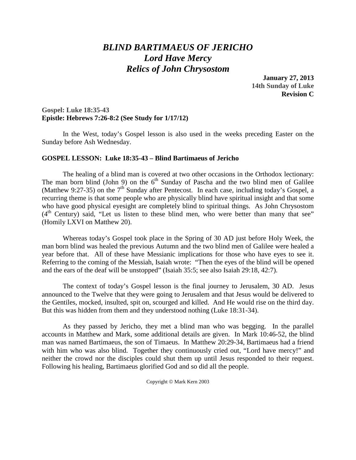# *BLIND BARTIMAEUS OF JERICHO Lord Have Mercy Relics of John Chrysostom*

**January 27, 2013 14th Sunday of Luke Revision C**

### **Gospel: Luke 18:35-43 Epistle: Hebrews 7:26-8:2 (See Study for 1/17/12)**

In the West, today's Gospel lesson is also used in the weeks preceding Easter on the Sunday before Ash Wednesday.

#### **GOSPEL LESSON: Luke 18:35-43 – Blind Bartimaeus of Jericho**

The healing of a blind man is covered at two other occasions in the Orthodox lectionary: The man born blind (John 9) on the  $6<sup>th</sup>$  Sunday of Pascha and the two blind men of Galilee (Matthew 9:27-35) on the  $7<sup>th</sup>$  Sunday after Pentecost. In each case, including today's Gospel, a recurring theme is that some people who are physically blind have spiritual insight and that some who have good physical eyesight are completely blind to spiritual things. As John Chrysostom (4<sup>th</sup> Century) said, "Let us listen to these blind men, who were better than many that see" (Homily LXVI on Matthew 20).

Whereas today's Gospel took place in the Spring of 30 AD just before Holy Week, the man born blind was healed the previous Autumn and the two blind men of Galilee were healed a year before that. All of these have Messianic implications for those who have eyes to see it. Referring to the coming of the Messiah, Isaiah wrote: "Then the eyes of the blind will be opened and the ears of the deaf will be unstopped" (Isaiah 35:5; see also Isaiah 29:18, 42:7).

The context of today's Gospel lesson is the final journey to Jerusalem, 30 AD. Jesus announced to the Twelve that they were going to Jerusalem and that Jesus would be delivered to the Gentiles, mocked, insulted, spit on, scourged and killed. And He would rise on the third day. But this was hidden from them and they understood nothing (Luke 18:31-34).

As they passed by Jericho, they met a blind man who was begging. In the parallel accounts in Matthew and Mark, some additional details are given. In Mark 10:46-52, the blind man was named Bartimaeus, the son of Timaeus. In Matthew 20:29-34, Bartimaeus had a friend with him who was also blind. Together they continuously cried out, "Lord have mercy!" and neither the crowd nor the disciples could shut them up until Jesus responded to their request. Following his healing, Bartimaeus glorified God and so did all the people.

Copyright © Mark Kern 2003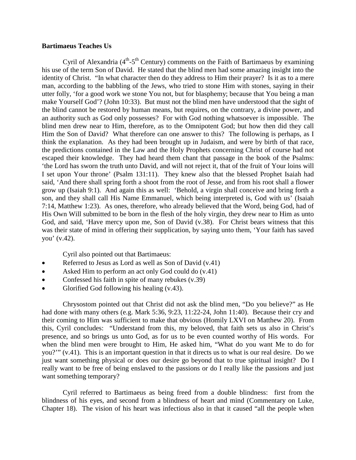#### **Bartimaeus Teaches Us**

Cyril of Alexandria  $(4^{th} - 5^{th}$  Century) comments on the Faith of Bartimaeus by examining his use of the term Son of David. He stated that the blind men had some amazing insight into the identity of Christ. "In what character then do they address to Him their prayer? Is it as to a mere man, according to the babbling of the Jews, who tried to stone Him with stones, saying in their utter folly, 'for a good work we stone You not, but for blasphemy; because that You being a man make Yourself God'? (John 10:33). But must not the blind men have understood that the sight of the blind cannot be restored by human means, but requires, on the contrary, a divine power, and an authority such as God only possesses? For with God nothing whatsoever is impossible. The blind men drew near to Him, therefore, as to the Omnipotent God; but how then did they call Him the Son of David? What therefore can one answer to this? The following is perhaps, as I think the explanation. As they had been brought up in Judaism, and were by birth of that race, the predictions contained in the Law and the Holy Prophets concerning Christ of course had not escaped their knowledge. They had heard them chant that passage in the book of the Psalms: 'the Lord has sworn the truth unto David, and will not reject it, that of the fruit of Your loins will I set upon Your throne' (Psalm 131:11). They knew also that the blessed Prophet Isaiah had said, 'And there shall spring forth a shoot from the root of Jesse, and from his root shall a flower grow up (Isaiah 9:1). And again this as well: 'Behold, a virgin shall conceive and bring forth a son, and they shall call His Name Emmanuel, which being interpreted is, God with us' (Isaiah 7:14, Matthew 1:23). As ones, therefore, who already believed that the Word, being God, had of His Own Will submitted to be born in the flesh of the holy virgin, they drew near to Him as unto God, and said, 'Have mercy upon me, Son of David (v.38). For Christ bears witness that this was their state of mind in offering their supplication, by saying unto them, 'Your faith has saved you' (v.42).

Cyril also pointed out that Bartimaeus:

- Referred to Jesus as Lord as well as Son of David (v.41)
- Asked Him to perform an act only God could do  $(v.41)$
- Confessed his faith in spite of many rebukes (v.39)
- Glorified God following his healing (v.43).

Chrysostom pointed out that Christ did not ask the blind men, "Do you believe?" as He had done with many others (e.g. Mark 5:36, 9:23, 11:22-24, John 11:40). Because their cry and their coming to Him was sufficient to make that obvious (Homily LXVI on Matthew 20). From this, Cyril concludes: "Understand from this, my beloved, that faith sets us also in Christ's presence, and so brings us unto God, as for us to be even counted worthy of His words. For when the blind men were brought to Him, He asked him, "What do you want Me to do for you?'" (v.41). This is an important question in that it directs us to what is our real desire. Do we just want something physical or does our desire go beyond that to true spiritual insight? Do I really want to be free of being enslaved to the passions or do I really like the passions and just want something temporary?

Cyril referred to Bartimaeus as being freed from a double blindness: first from the blindness of his eyes, and second from a blindness of heart and mind (Commentary on Luke, Chapter 18). The vision of his heart was infectious also in that it caused "all the people when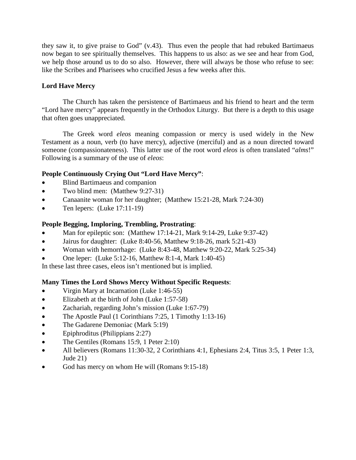they saw it, to give praise to God" (v.43). Thus even the people that had rebuked Bartimaeus now began to see spiritually themselves. This happens to us also: as we see and hear from God, we help those around us to do so also. However, there will always be those who refuse to see: like the Scribes and Pharisees who crucified Jesus a few weeks after this.

# **Lord Have Mercy**

The Church has taken the persistence of Bartimaeus and his friend to heart and the term "Lord have mercy" appears frequently in the Orthodox Liturgy. But there is a depth to this usage that often goes unappreciated.

The Greek word *eleos* meaning compassion or mercy is used widely in the New Testament as a noun, verb (to have mercy), adjective (merciful) and as a noun directed toward someone (compassionateness). This latter use of the root word *eleos* is often translated "*alms*!" Following is a summary of the use of *eleos*:

# **People Continuously Crying Out "Lord Have Mercy"**:

- Blind Bartimaeus and companion
- Two blind men: (Matthew 9:27-31)
- Canaanite woman for her daughter; (Matthew 15:21-28, Mark 7:24-30)
- Ten lepers: (Luke 17:11-19)

## **People Begging, Imploring, Trembling, Prostrating**:

- Man for epileptic son: (Matthew 17:14-21, Mark 9:14-29, Luke 9:37-42)
- Jairus for daughter: (Luke 8:40-56, Matthew 9:18-26, mark 5:21-43)
- Woman with hemorrhage: (Luke 8:43-48, Matthew 9:20-22, Mark 5:25-34)
- One leper: (Luke 5:12-16, Matthew 8:1-4, Mark 1:40-45)
- In these last three cases, eleos isn't mentioned but is implied.

## **Many Times the Lord Shows Mercy Without Specific Requests**:

- Virgin Mary at Incarnation (Luke 1:46-55)
- Elizabeth at the birth of John (Luke 1:57-58)
- Zachariah, regarding John's mission (Luke 1:67-79)
- The Apostle Paul (1 Corinthians 7:25, 1 Timothy 1:13-16)
- The Gadarene Demoniac (Mark 5:19)
- Epiphroditus (Philippians 2:27)
- The Gentiles (Romans 15:9, 1 Peter 2:10)
- All believers (Romans 11:30-32, 2 Corinthians 4:1, Ephesians 2:4, Titus 3:5, 1 Peter 1:3, Jude 21)
- God has mercy on whom He will (Romans 9:15-18)